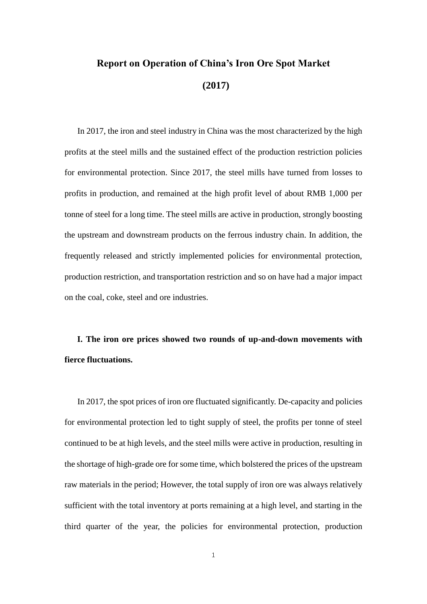# **Report on Operation of China's Iron Ore Spot Market (2017)**

In 2017, the iron and steel industry in China was the most characterized by the high profits at the steel mills and the sustained effect of the production restriction policies for environmental protection. Since 2017, the steel mills have turned from losses to profits in production, and remained at the high profit level of about RMB 1,000 per tonne of steel for a long time. The steel mills are active in production, strongly boosting the upstream and downstream products on the ferrous industry chain. In addition, the frequently released and strictly implemented policies for environmental protection, production restriction, and transportation restriction and so on have had a major impact on the coal, coke, steel and ore industries.

**I. The iron ore prices showed two rounds of up-and-down movements with fierce fluctuations.**

In 2017, the spot prices of iron ore fluctuated significantly. De-capacity and policies for environmental protection led to tight supply of steel, the profits per tonne of steel continued to be at high levels, and the steel mills were active in production, resulting in the shortage of high-grade ore for some time, which bolstered the prices of the upstream raw materials in the period; However, the total supply of iron ore was always relatively sufficient with the total inventory at ports remaining at a high level, and starting in the third quarter of the year, the policies for environmental protection, production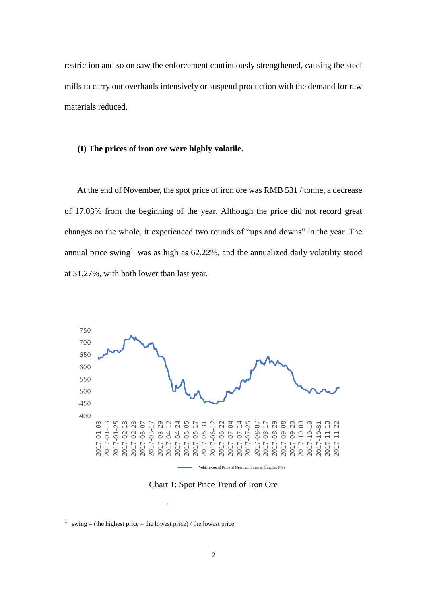restriction and so on saw the enforcement continuously strengthened, causing the steel mills to carry out overhauls intensively or suspend production with the demand for raw materials reduced.

#### **(I) The prices of iron ore were highly volatile.**

At the end of November, the spot price of iron ore was RMB 531 / tonne, a decrease of 17.03% from the beginning of the year. Although the price did not record great changes on the whole, it experienced two rounds of "ups and downs" in the year. The annual price swing<sup>1</sup> was as high as  $62.22\%$ , and the annualized daily volatility stood at 31.27%, with both lower than last year.



Chart 1: Spot Price Trend of Iron Ore

1

<sup>&</sup>lt;sup>1</sup> swing = (the highest price – the lowest price) / the lowest price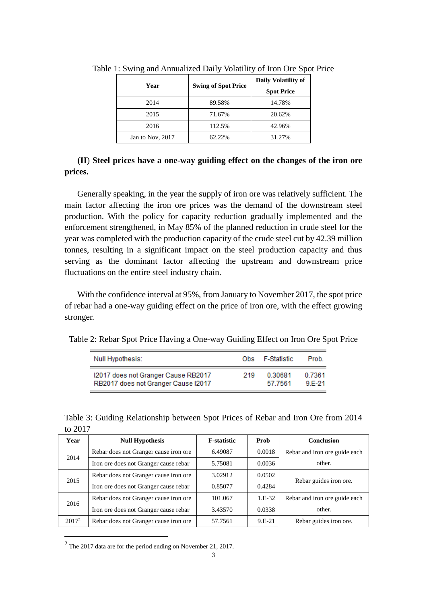|                  |                            | л.                         |  |  |
|------------------|----------------------------|----------------------------|--|--|
| Year             | <b>Swing of Spot Price</b> | <b>Daily Volatility of</b> |  |  |
|                  |                            | <b>Spot Price</b>          |  |  |
| 2014             | 89.58%                     | 14.78%                     |  |  |
| 2015             | 71.67%                     | 20.62%                     |  |  |
| 2016             | 112.5%                     | 42.96%                     |  |  |
| Jan to Nov, 2017 | 62.22%                     | 31.27%                     |  |  |

Table 1: Swing and Annualized Daily Volatility of Iron Ore Spot Price

## **(II**) **Steel prices have a one-way guiding effect on the changes of the iron ore prices.**

Generally speaking, in the year the supply of iron ore was relatively sufficient. The main factor affecting the iron ore prices was the demand of the downstream steel production. With the policy for capacity reduction gradually implemented and the enforcement strengthened, in May 85% of the planned reduction in crude steel for the year was completed with the production capacity of the crude steel cut by 42.39 million tonnes, resulting in a significant impact on the steel production capacity and thus serving as the dominant factor affecting the upstream and downstream price fluctuations on the entire steel industry chain.

With the confidence interval at 95%, from January to November 2017, the spot price of rebar had a one-way guiding effect on the price of iron ore, with the effect growing stronger.

Table 2: Rebar Spot Price Having a One-way Guiding Effect on Iron Ore Spot Price

| Null Hypothesis:                    | Ohs | F-Statistic | Prob.  |
|-------------------------------------|-----|-------------|--------|
| I2017 does not Granger Cause RB2017 | 219 | 0.30681     | 0.7361 |
| RB2017 does not Granger Cause I2017 |     | 57.7561     | 9 F-21 |

|         | Table 3: Guiding Relationship between Spot Prices of Rebar and Iron Ore from 2014 |  |  |  |  |  |
|---------|-----------------------------------------------------------------------------------|--|--|--|--|--|
| to 2017 |                                                                                   |  |  |  |  |  |

| Year     | <b>Null Hypothesis</b>                | <b>F-statistic</b> | Prob     | <b>Conclusion</b>             |
|----------|---------------------------------------|--------------------|----------|-------------------------------|
| 2014     | Rebar does not Granger cause iron ore | 6.49087            | 0.0018   | Rebar and iron ore guide each |
|          | Iron ore does not Granger cause rebar | 5.75081            | 0.0036   | other.                        |
|          | Rebar does not Granger cause iron ore | 3.02912            | 0.0502   |                               |
| 2015     | Iron ore does not Granger cause rebar | 0.85077            | 0.4284   | Rebar guides iron ore.        |
| 2016     | Rebar does not Granger cause iron ore | 101.067            | $1.E-32$ | Rebar and iron ore guide each |
|          | Iron ore does not Granger cause rebar | 3.43570            | 0.0338   | other.                        |
| $2017^2$ | Rebar does not Granger cause iron ore | 57.7561            | 9.E-21   | Rebar guides iron ore.        |

 $2$  The 2017 data are for the period ending on November 21, 2017.

1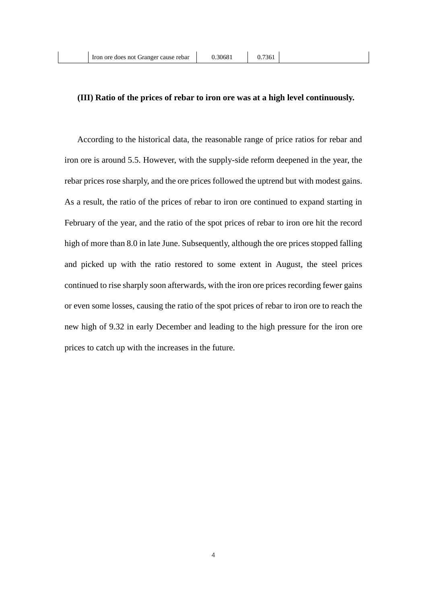#### **(III) Ratio of the prices of rebar to iron ore was at a high level continuously.**

According to the historical data, the reasonable range of price ratios for rebar and iron ore is around 5.5. However, with the supply-side reform deepened in the year, the rebar prices rose sharply, and the ore prices followed the uptrend but with modest gains. As a result, the ratio of the prices of rebar to iron ore continued to expand starting in February of the year, and the ratio of the spot prices of rebar to iron ore hit the record high of more than 8.0 in late June. Subsequently, although the ore prices stopped falling and picked up with the ratio restored to some extent in August, the steel prices continued to rise sharply soon afterwards, with the iron ore prices recording fewer gains or even some losses, causing the ratio of the spot prices of rebar to iron ore to reach the new high of 9.32 in early December and leading to the high pressure for the iron ore prices to catch up with the increases in the future.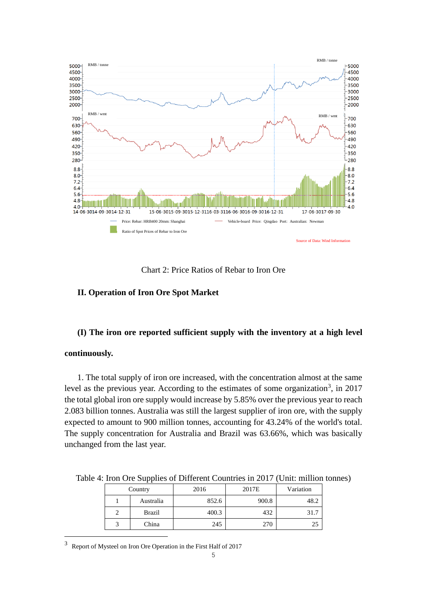

Chart 2: Price Ratios of Rebar to Iron Ore

### **II. Operation of Iron Ore Spot Market**

#### **(I) The iron ore reported sufficient supply with the inventory at a high level**

#### **continuously.**

1

1. The total supply of iron ore increased, with the concentration almost at the same level as the previous year. According to the estimates of some organization<sup>3</sup>, in 2017 the total global iron ore supply would increase by 5.85% over the previous year to reach 2.083 billion tonnes. Australia was still the largest supplier of iron ore, with the supply expected to amount to 900 million tonnes, accounting for 43.24% of the world's total. The supply concentration for Australia and Brazil was 63.66%, which was basically unchanged from the last year.

|  | Country       | 2016  | 2017E | Variation |  |
|--|---------------|-------|-------|-----------|--|
|  | Australia     | 852.6 | 900.8 | 48.2      |  |
|  | <b>Brazil</b> | 400.3 | 432   | 31.7      |  |
|  | China         | 245   | 270   | 25        |  |

Table 4: Iron Ore Supplies of Different Countries in 2017 (Unit: million tonnes)

3 Report of Mysteel on Iron Ore Operation in the First Half of 2017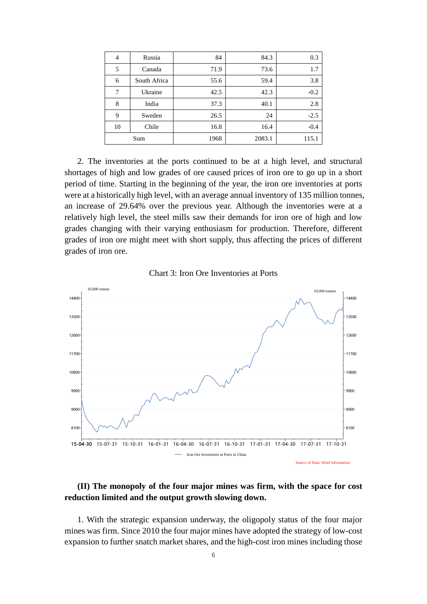| $\overline{4}$ | Russia       | 84   | 84.3   | 0.3    |
|----------------|--------------|------|--------|--------|
| 5              | Canada       | 71.9 | 73.6   | 1.7    |
| 6              | South Africa | 55.6 | 59.4   | 3.8    |
| 7              | Ukraine      | 42.5 | 42.3   | $-0.2$ |
| 8              | India        | 37.3 | 40.1   | 2.8    |
| 9              | Sweden       | 26.5 | 24     | $-2.5$ |
| 10             | Chile        | 16.8 | 16.4   | $-0.4$ |
|                | Sum          | 1968 | 2083.1 | 115.1  |

2. The inventories at the ports continued to be at a high level, and structural shortages of high and low grades of ore caused prices of iron ore to go up in a short period of time. Starting in the beginning of the year, the iron ore inventories at ports were at a historically high level, with an average annual inventory of 135 million tonnes, an increase of 29.64% over the previous year. Although the inventories were at a relatively high level, the steel mills saw their demands for iron ore of high and low grades changing with their varying enthusiasm for production. Therefore, different grades of iron ore might meet with short supply, thus affecting the prices of different grades of iron ore.





## **(II) The monopoly of the four major mines was firm, with the space for cost reduction limited and the output growth slowing down.**

1. With the strategic expansion underway, the oligopoly status of the four major mines was firm. Since 2010 the four major mines have adopted the strategy of low-cost expansion to further snatch market shares, and the high-cost iron mines including those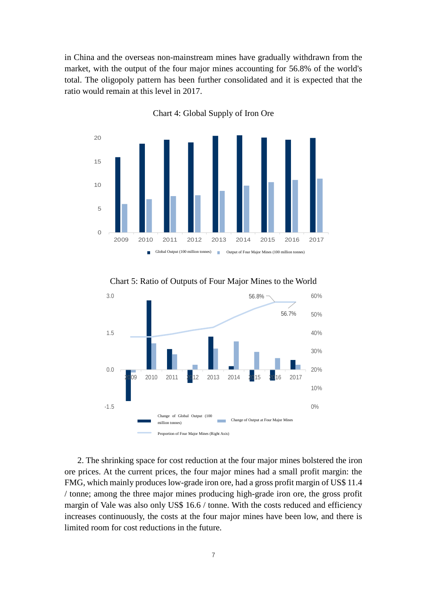in China and the overseas non-mainstream mines have gradually withdrawn from the market, with the output of the four major mines accounting for 56.8% of the world's total. The oligopoly pattern has been further consolidated and it is expected that the ratio would remain at this level in 2017.



Chart 4: Global Supply of Iron Ore



Chart 5: Ratio of Outputs of Four Major Mines to the World

2. The shrinking space for cost reduction at the four major mines bolstered the iron ore prices. At the current prices, the four major mines had a small profit margin: the FMG, which mainly produces low-grade iron ore, had a gross profit margin of US\$ 11.4 / tonne; among the three major mines producing high-grade iron ore, the gross profit margin of Vale was also only US\$ 16.6 / tonne. With the costs reduced and efficiency increases continuously, the costs at the four major mines have been low, and there is limited room for cost reductions in the future.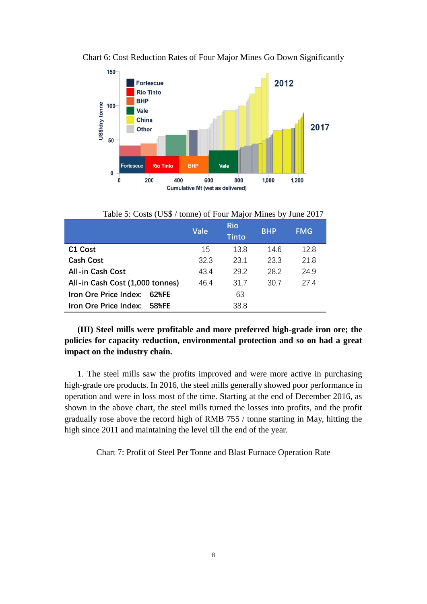

Chart 6: Cost Reduction Rates of Four Major Mines Go Down Significantly

Table 5: Costs (US\$ / tonne) of Four Major Mines by June 2017

|                                 | Vale | <b>Rio</b><br><b>Tinto</b> | <b>BHP</b> | <b>FMG</b> |
|---------------------------------|------|----------------------------|------------|------------|
| C <sub>1</sub> Cost             | 15   | 13.8                       | 14.6       | 12.8       |
| <b>Cash Cost</b>                | 32.3 | 23.1                       | 23.3       | 21.8       |
| <b>All-in Cash Cost</b>         | 43.4 | 29.2                       | 28.2       | 24.9       |
| All-in Cash Cost (1,000 tonnes) | 46.4 | 31.7                       | 30.7       | 27.4       |
| Iron Ore Price Index:<br>62%FF  |      | 63                         |            |            |
| Iron Ore Price Index:<br>58%FE  |      | 38.8                       |            |            |

**(III) Steel mills were profitable and more preferred high-grade iron ore; the policies for capacity reduction, environmental protection and so on had a great impact on the industry chain.**

1. The steel mills saw the profits improved and were more active in purchasing high-grade ore products. In 2016, the steel mills generally showed poor performance in operation and were in loss most of the time. Starting at the end of December 2016, as shown in the above chart, the steel mills turned the losses into profits, and the profit gradually rose above the record high of RMB 755 / tonne starting in May, hitting the high since 2011 and maintaining the level till the end of the year.

Chart 7: Profit of Steel Per Tonne and Blast Furnace Operation Rate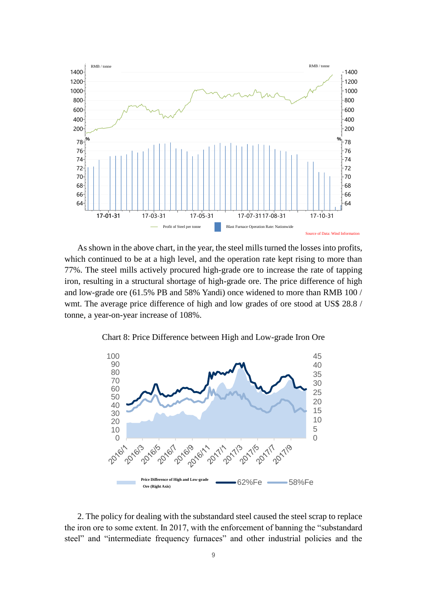

As shown in the above chart, in the year, the steel mills turned the losses into profits, which continued to be at a high level, and the operation rate kept rising to more than 77%. The steel mills actively procured high-grade ore to increase the rate of tapping iron, resulting in a structural shortage of high-grade ore. The price difference of high and low-grade ore (61.5% PB and 58% Yandi) once widened to more than RMB 100 / wmt. The average price difference of high and low grades of ore stood at US\$ 28.8 / tonne, a year-on-year increase of 108%.

Chart 8: Price Difference between High and Low-grade Iron Ore



2. The policy for dealing with the substandard steel caused the steel scrap to replace the iron ore to some extent. In 2017, with the enforcement of banning the "substandard steel" and "intermediate frequency furnaces" and other industrial policies and the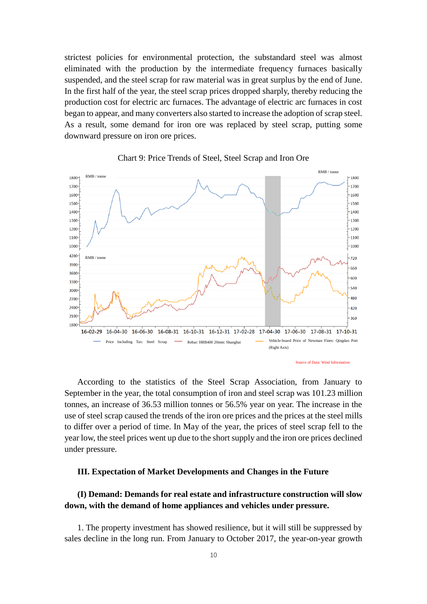strictest policies for environmental protection, the substandard steel was almost eliminated with the production by the intermediate frequency furnaces basically suspended, and the steel scrap for raw material was in great surplus by the end of June. In the first half of the year, the steel scrap prices dropped sharply, thereby reducing the production cost for electric arc furnaces. The advantage of electric arc furnaces in cost began to appear, and many converters also started to increase the adoption of scrap steel. As a result, some demand for iron ore was replaced by steel scrap, putting some downward pressure on iron ore prices.



Chart 9: Price Trends of Steel, Steel Scrap and Iron Ore

According to the statistics of the Steel Scrap Association, from January to September in the year, the total consumption of iron and steel scrap was 101.23 million tonnes, an increase of 36.53 million tonnes or 56.5% year on year. The increase in the use of steel scrap caused the trends of the iron ore prices and the prices at the steel mills to differ over a period of time. In May of the year, the prices of steel scrap fell to the year low, the steel prices went up due to the short supply and the iron ore prices declined under pressure.

#### **III. Expectation of Market Developments and Changes in the Future**

## **(I) Demand: Demands for real estate and infrastructure construction will slow down, with the demand of home appliances and vehicles under pressure.**

1. The property investment has showed resilience, but it will still be suppressed by sales decline in the long run. From January to October 2017, the year-on-year growth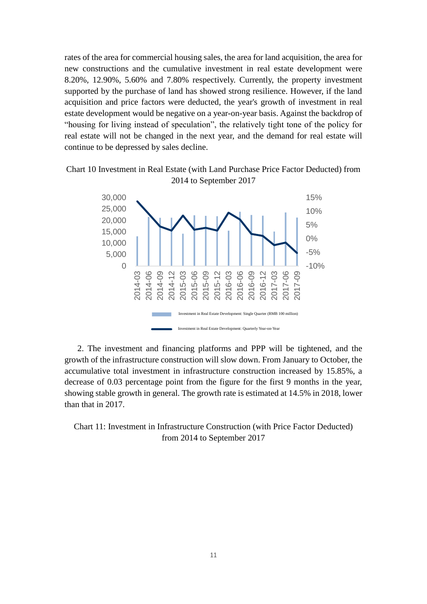rates of the area for commercial housing sales, the area for land acquisition, the area for new constructions and the cumulative investment in real estate development were 8.20%, 12.90%, 5.60% and 7.80% respectively. Currently, the property investment supported by the purchase of land has showed strong resilience. However, if the land acquisition and price factors were deducted, the year's growth of investment in real estate development would be negative on a year-on-year basis. Against the backdrop of "housing for living instead of speculation", the relatively tight tone of the policy for real estate will not be changed in the next year, and the demand for real estate will continue to be depressed by sales decline.





2. The investment and financing platforms and PPP will be tightened, and the growth of the infrastructure construction will slow down. From January to October, the accumulative total investment in infrastructure construction increased by 15.85%, a decrease of 0.03 percentage point from the figure for the first 9 months in the year, showing stable growth in general. The growth rate is estimated at 14.5% in 2018, lower than that in 2017.

Chart 11: Investment in Infrastructure Construction (with Price Factor Deducted) from 2014 to September 2017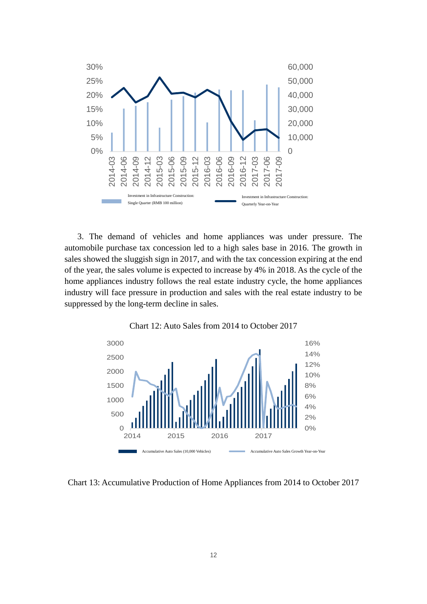

3. The demand of vehicles and home appliances was under pressure. The automobile purchase tax concession led to a high sales base in 2016. The growth in sales showed the sluggish sign in 2017, and with the tax concession expiring at the end of the year, the sales volume is expected to increase by 4% in 2018. As the cycle of the home appliances industry follows the real estate industry cycle, the home appliances industry will face pressure in production and sales with the real estate industry to be suppressed by the long-term decline in sales.



Chart 12: Auto Sales from 2014 to October 2017

Chart 13: Accumulative Production of Home Appliances from 2014 to October 2017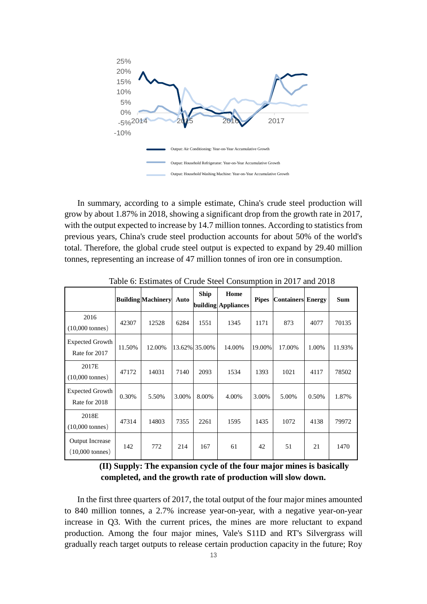

In summary, according to a simple estimate, China's crude steel production will grow by about 1.87% in 2018, showing a significant drop from the growth rate in 2017, with the output expected to increase by 14.7 million tonnes. According to statistics from previous years, China's crude steel production accounts for about 50% of the world's total. Therefore, the global crude steel output is expected to expand by 29.40 million tonnes, representing an increase of 47 million tonnes of iron ore in consumption.

|                                                     |        | <b>Building Machinery</b> | Auto  | <b>Ship</b>   | Home<br>building Appliances | <b>Pipes</b> | <b>Containers</b> Energy |       | <b>Sum</b> |
|-----------------------------------------------------|--------|---------------------------|-------|---------------|-----------------------------|--------------|--------------------------|-------|------------|
| 2016<br>$(10,000 \text{ tonnes})$                   | 42307  | 12528                     | 6284  | 1551          | 1345                        | 1171         | 873                      | 4077  | 70135      |
| Expected Growth<br>Rate for 2017                    | 11.50% | 12.00%                    |       | 13.62% 35.00% | 14.00%                      | 19.00%       | 17.00%                   | 1.00% | 11.93%     |
| 2017E<br>$(10,000 \text{ tonnes})$                  | 47172  | 14031                     | 7140  | 2093          | 1534                        | 1393         | 1021                     | 4117  | 78502      |
| <b>Expected Growth</b><br>Rate for 2018             | 0.30%  | 5.50%                     | 3.00% | 8.00%         | 4.00%                       | 3.00%        | 5.00%                    | 0.50% | 1.87%      |
| 2018E<br>$(10,000 \text{ tonnes})$                  | 47314  | 14803                     | 7355  | 2261          | 1595                        | 1435         | 1072                     | 4138  | 79972      |
| <b>Output Increase</b><br>$(10,000 \text{ tonnes})$ | 142    | 772                       | 214   | 167           | 61                          | 42           | 51                       | 21    | 1470       |

Table 6: Estimates of Crude Steel Consumption in 2017 and 2018

**(II) Supply: The expansion cycle of the four major mines is basically completed, and the growth rate of production will slow down.** 

In the first three quarters of 2017, the total output of the four major mines amounted to 840 million tonnes, a 2.7% increase year-on-year, with a negative year-on-year increase in Q3. With the current prices, the mines are more reluctant to expand production. Among the four major mines, Vale's S11D and RT's Silvergrass will gradually reach target outputs to release certain production capacity in the future; Roy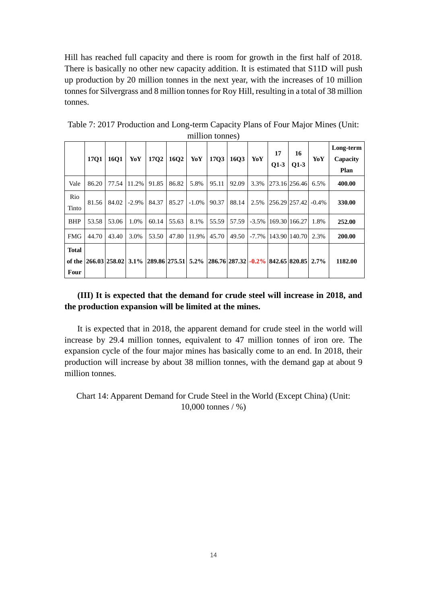Hill has reached full capacity and there is room for growth in the first half of 2018. There is basically no other new capacity addition. It is estimated that S11D will push up production by 20 million tonnes in the next year, with the increases of 10 million tonnes for Silvergrass and 8 million tonnes for Roy Hill, resulting in a total of 38 million tonnes.

|                      | 1701                                                                                | <b>16O1</b> | YoY      | 17Q2  | 16Q <sub>2</sub> | YoY      | <b>17Q3</b> | 16Q3  | YoY  | 17<br>$O1-3$ | 16<br>$Q1-3$                      | YoY  | Long-term<br>Capacity<br>Plan |
|----------------------|-------------------------------------------------------------------------------------|-------------|----------|-------|------------------|----------|-------------|-------|------|--------------|-----------------------------------|------|-------------------------------|
| Vale                 | 86.20                                                                               | 77.54       | 11.2%    | 91.85 | 86.82            | 5.8%     | 95.11       | 92.09 | 3.3% |              | 273.16 256.46                     | 6.5% | 400.00                        |
| Rio<br>Tinto         | 81.56                                                                               | 84.02       | $-2.9\%$ | 84.37 | 85.27            | $-1.0\%$ | 90.37       | 88.14 | 2.5% |              | $ 256.29 257.42  -0.4%$           |      | 330.00                        |
| <b>BHP</b>           | 53.58                                                                               | 53.06       | 1.0%     | 60.14 | 55.63            | 8.1%     | 55.59       | 57.59 |      |              | $-3.5\%$   169.30   166.27        | 1.8% | 252.00                        |
| <b>FMG</b>           | 44.70                                                                               | 43.40       | 3.0%     | 53.50 | 47.80            | 11.9%    | 45.70       | 49.50 |      |              | $-7.7\%$   143.90   140.70   2.3% |      | 200.00                        |
| <b>Total</b><br>Four | of the 266.03 258.02 3.1% 289.86 275.51 5.2% 286.76 287.32 -0.2% 842.65 820.85 2.7% |             |          |       |                  |          |             |       |      |              |                                   |      | 1182.00                       |

Table 7: 2017 Production and Long-term Capacity Plans of Four Major Mines (Unit: million tonnes)

## **(III) It is expected that the demand for crude steel will increase in 2018, and the production expansion will be limited at the mines.**

It is expected that in 2018, the apparent demand for crude steel in the world will increase by 29.4 million tonnes, equivalent to 47 million tonnes of iron ore. The expansion cycle of the four major mines has basically come to an end. In 2018, their production will increase by about 38 million tonnes, with the demand gap at about 9 million tonnes.

Chart 14: Apparent Demand for Crude Steel in the World (Except China) (Unit: 10,000 tonnes / %)